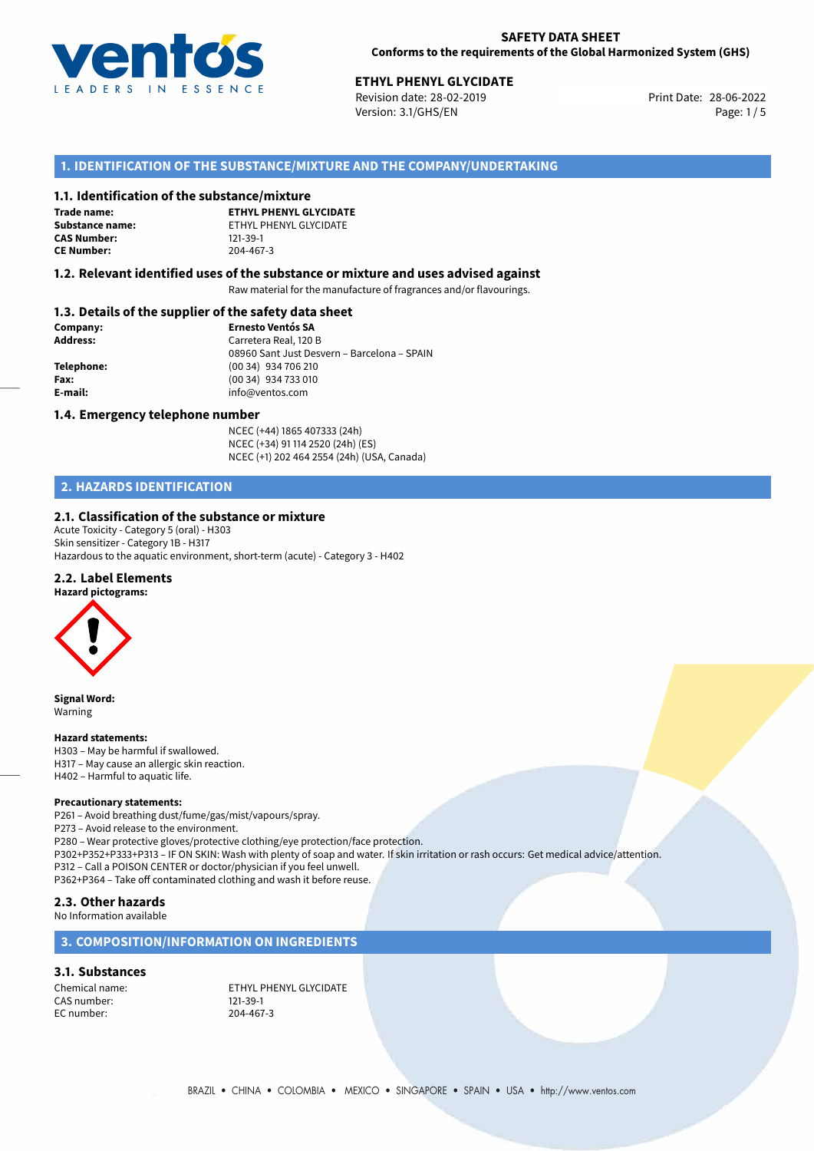

# **ETHYL PHENYL GLYCIDATE**<br>28-06-2022 Revision date: 28-02-2019

Revision date: 28-02-2019 Version: 3.1/GHS/EN Page: 1 / 5

#### **1. IDENTIFICATION OF THE SUBSTANCE/MIXTURE AND THE COMPANY/UNDERTAKING**

#### **1.1. Identification of the substance/mixture**

**Trade name: CAS Number: CE Number:** 204-467-3

**ETHYL PHENYL GLYCIDATE Substance name:** ETHYL PHENYL GLYCIDATE<br> **CAS Number:** 121-39-1

#### **1.2. Relevant identified uses of the substance or mixture and uses advised against**

Raw material for the manufacture of fragrances and/or flavourings.

#### **1.3. Details of the supplier of the safety data sheet**

| Company:        | <b>Ernesto Ventós SA</b>                    |
|-----------------|---------------------------------------------|
| <b>Address:</b> | Carretera Real, 120 B                       |
|                 | 08960 Sant Just Desvern - Barcelona - SPAIN |
| Telephone:      | (00 34) 934 706 210                         |
| Fax:            | $(0034)$ 934 733 010                        |
| E-mail:         | info@ventos.com                             |
|                 |                                             |

#### **1.4. Emergency telephone number**

NCEC (+44) 1865 407333 (24h) NCEC (+34) 91 114 2520 (24h) (ES) NCEC (+1) 202 464 2554 (24h) (USA, Canada)

## **2. HAZARDS IDENTIFICATION**

#### **2.1. Classification of the substance or mixture**

Acute Toxicity - Category 5 (oral) - H303 Skin sensitizer - Category 1B - H317 Hazardous to the aquatic environment, short-term (acute) - Category 3 - H402

#### **2.2. Label Elements**



**Signal Word:** Warning

#### **Hazard statements:**

H303 – May be harmful if swallowed. H317 – May cause an allergic skin reaction. H402 – Harmful to aquatic life.

#### **Precautionary statements:**

P261 – Avoid breathing dust/fume/gas/mist/vapours/spray. P273 – Avoid release to the environment. P280 – Wear protective gloves/protective clothing/eye protection/face protection. P302+P352+P333+P313 – IF ON SKIN: Wash with plenty of soap and water. If skin irritation or rash occurs: Get medical advice/attention. P312 – Call a POISON CENTER or doctor/physician if you feel unwell. P362+P364 – Take off contaminated clothing and wash it before reuse. **2.3. Other hazards**

No Information available

#### **3. COMPOSITION/INFORMATION ON INGREDIENTS**

#### **3.1. Substances**

CAS number: 121-39-1<br>EC number: 204-467-3 EC number:

Chemical name: ETHYL PHENYL GLYCIDATE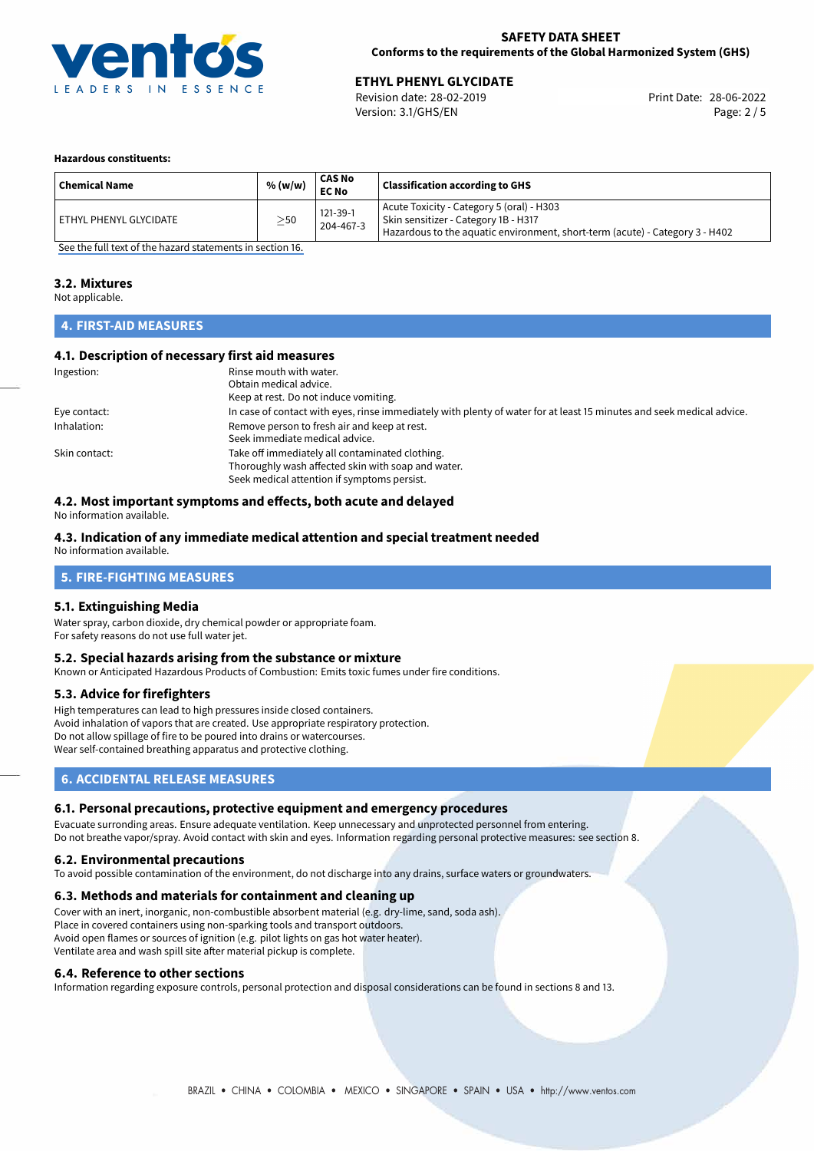

# **ETHYL PHENYL GLYCIDATE**<br>28-06-2022 Revision date: 28-02-2019

Revision date: 28-02-2019 Version: 3.1/GHS/EN Page: 2 / 5

#### **Hazardous constituents:**

| <b>Chemical Name</b>     | % (w/w)   | CAS No<br><b>EC No</b> | <b>Classification according to GHS</b>                                                                                                                            |
|--------------------------|-----------|------------------------|-------------------------------------------------------------------------------------------------------------------------------------------------------------------|
| ' ETHYL PHENYL GLYCIDATE | $\geq$ 50 | 121-39-1<br>204-467-3  | Acute Toxicity - Category 5 (oral) - H303<br>Skin sensitizer - Category 1B - H317<br>Hazardous to the aquatic environment, short-term (acute) - Category 3 - H402 |

[See the full text of the hazard statements in section 16.](#page-4-0)

#### **3.2. Mixtures**

Not applicable.

#### **4. FIRST-AID MEASURES**

#### **4.1. Description of necessary first aid measures**

| Ingestion:    | Rinse mouth with water.                                                                                               |
|---------------|-----------------------------------------------------------------------------------------------------------------------|
|               | Obtain medical advice.                                                                                                |
|               | Keep at rest. Do not induce vomiting.                                                                                 |
| Eye contact:  | In case of contact with eyes, rinse immediately with plenty of water for at least 15 minutes and seek medical advice. |
| Inhalation:   | Remove person to fresh air and keep at rest.                                                                          |
|               | Seek immediate medical advice.                                                                                        |
| Skin contact: | Take off immediately all contaminated clothing.                                                                       |
|               | Thoroughly wash affected skin with soap and water.                                                                    |
|               | Seek medical attention if symptoms persist.                                                                           |

#### **4.2. Most important symptoms and effects, both acute and delayed**

No information available.

#### **4.3. Indication of any immediate medical attention and special treatment needed**

No information available.

#### **5. FIRE-FIGHTING MEASURES**

#### **5.1. Extinguishing Media**

Water spray, carbon dioxide, dry chemical powder or appropriate foam. For safety reasons do not use full water jet.

#### **5.2. Special hazards arising from the substance or mixture**

Known or Anticipated Hazardous Products of Combustion: Emits toxic fumes under fire conditions.

#### **5.3. Advice for firefighters**

High temperatures can lead to high pressures inside closed containers. Avoid inhalation of vapors that are created. Use appropriate respiratory protection. Do not allow spillage of fire to be poured into drains or watercourses. Wear self-contained breathing apparatus and protective clothing.

#### **6. ACCIDENTAL RELEASE MEASURES**

#### **6.1. Personal precautions, protective equipment and emergency procedures**

Evacuate surronding areas. Ensure adequate ventilation. Keep unnecessary and unprotected personnel from entering. Do not breathe vapor/spray. Avoid contact with skin and eyes. Information regarding personal protective measures: see section 8.

#### **6.2. Environmental precautions**

To avoid possible contamination of the environment, do not discharge into any drains, surface waters or groundwaters.

#### **6.3. Methods and materials for containment and cleaning up**

Cover with an inert, inorganic, non-combustible absorbent material (e.g. dry-lime, sand, soda ash). Place in covered containers using non-sparking tools and transport outdoors. Avoid open flames or sources of ignition (e.g. pilot lights on gas hot water heater). Ventilate area and wash spill site after material pickup is complete.

#### **6.4. Reference to other sections**

Information regarding exposure controls, personal protection and disposal considerations can be found in sections 8 and 13.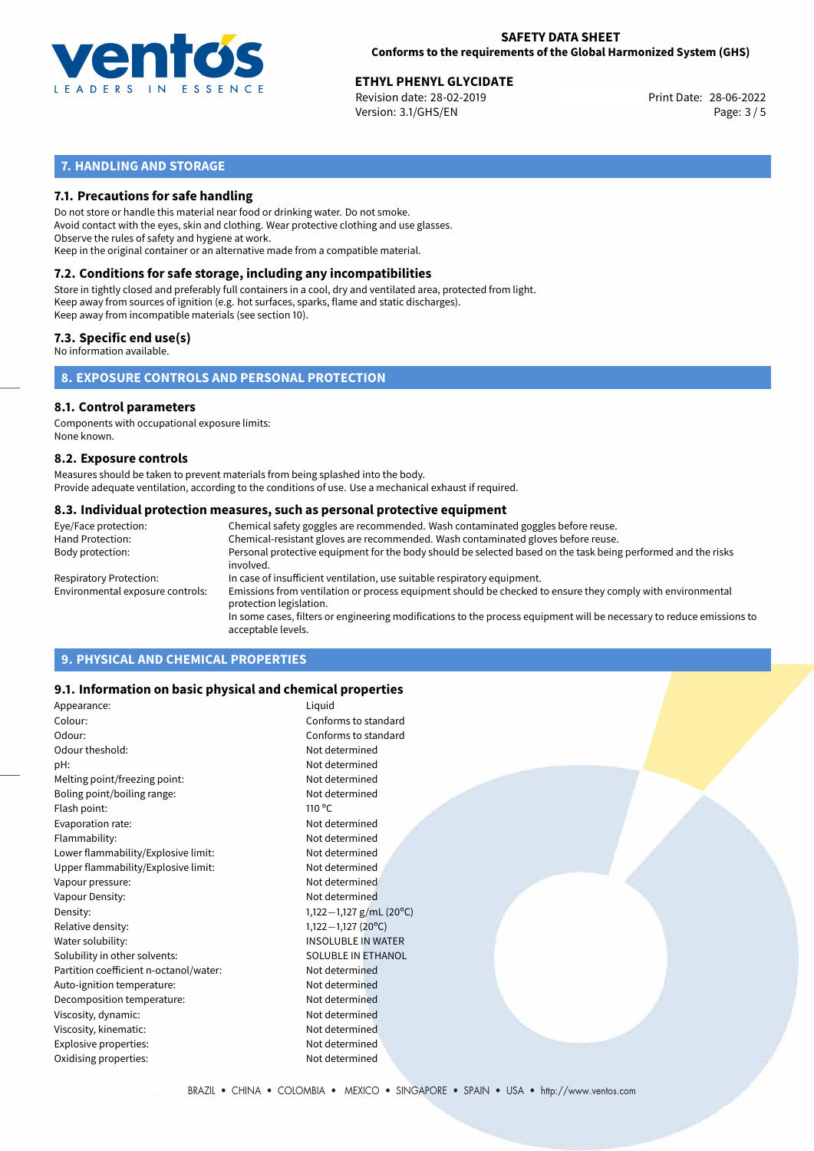

# **ETHYL PHENYL GLYCIDATE**<br>28-06-2022 Revision date: 28-02-2019

Revision date: 28-02-2019 Version: 3.1/GHS/EN Page: 3 / 5

### **7. HANDLING AND STORAGE**

#### **7.1. Precautions for safe handling**

Do not store or handle this material near food or drinking water. Do not smoke. Avoid contact with the eyes, skin and clothing. Wear protective clothing and use glasses. Observe the rules of safety and hygiene at work. Keep in the original container or an alternative made from a compatible material.

# **7.2. Conditions for safe storage, including any incompatibilities**

Store in tightly closed and preferably full containers in a cool, dry and ventilated area, protected from light. Keep away from sources of ignition (e.g. hot surfaces, sparks, flame and static discharges). Keep away from incompatible materials (see section 10).

#### **7.3. Specific end use(s)**

No information available.

#### **8. EXPOSURE CONTROLS AND PERSONAL PROTECTION**

#### **8.1. Control parameters**

Components with occupational exposure limits: None known.

#### **8.2. Exposure controls**

Measures should be taken to prevent materials from being splashed into the body. Provide adequate ventilation, according to the conditions of use. Use a mechanical exhaust if required.

#### **8.3. Individual protection measures, such as personal protective equipment**

| Eye/Face protection:             | Chemical safety goggles are recommended. Wash contaminated goggles before reuse.                                                            |
|----------------------------------|---------------------------------------------------------------------------------------------------------------------------------------------|
| Hand Protection:                 | Chemical-resistant gloves are recommended. Wash contaminated gloves before reuse.                                                           |
| Body protection:                 | Personal protective equipment for the body should be selected based on the task being performed and the risks<br>involved.                  |
| Respiratory Protection:          | In case of insufficient ventilation, use suitable respiratory equipment.                                                                    |
| Environmental exposure controls: | Emissions from ventilation or process equipment should be checked to ensure they comply with environmental<br>protection legislation.       |
|                                  | In some cases, filters or engineering modifications to the process equipment will be necessary to reduce emissions to<br>acceptable levels. |
|                                  |                                                                                                                                             |

### **9. PHYSICAL AND CHEMICAL PROPERTIES**

#### **9.1. Information on basic physical and chemical properties**

| Appearance:                            | Liquid                    |
|----------------------------------------|---------------------------|
| Colour:                                | Conforms to standard      |
| Odour:                                 | Conforms to standard      |
| Odour theshold:                        | Not determined            |
| pH:                                    | Not determined            |
| Melting point/freezing point:          | Not determined            |
| Boling point/boiling range:            | Not determined            |
| Flash point:                           | $110^{\circ}$ C           |
| Evaporation rate:                      | Not determined            |
| Flammability:                          | Not determined            |
| Lower flammability/Explosive limit:    | Not determined            |
| Upper flammability/Explosive limit:    | Not determined            |
| Vapour pressure:                       | Not determined            |
| Vapour Density:                        | Not determined            |
| Density:                               | 1,122 - 1,127 g/mL (20°C) |
| Relative density:                      | $1,122-1,127$ (20°C)      |
| Water solubility:                      | <b>INSOLUBLE IN WATER</b> |
| Solubility in other solvents:          | SOLUBLE IN ETHANOL        |
| Partition coefficient n-octanol/water: | Not determined            |
| Auto-ignition temperature:             | Not determined            |
| Decomposition temperature:             | Not determined            |
| Viscosity, dynamic:                    | Not determined            |
| Viscosity, kinematic:                  | Not determined            |
| Explosive properties:                  | Not determined            |
| Oxidising properties:                  | Not determined            |
|                                        |                           |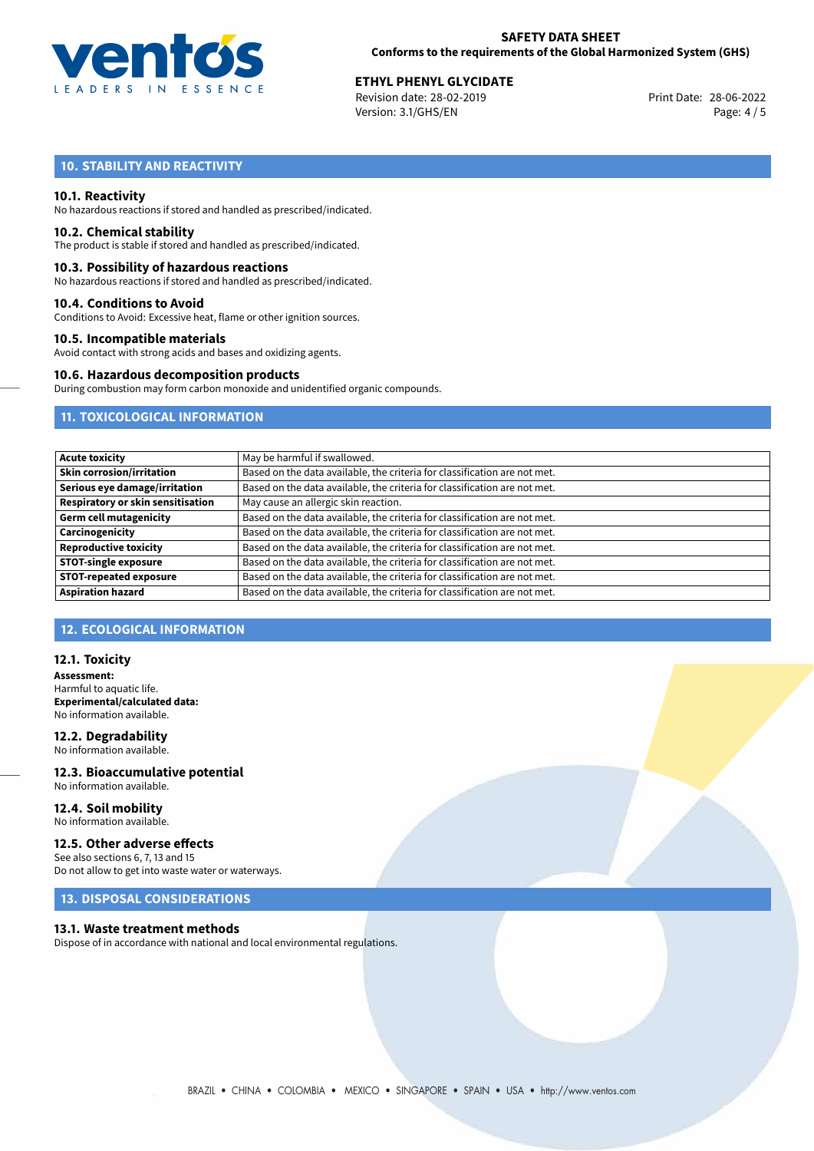

# **ETHYL PHENYL GLYCIDATE**<br>
Revision date: 28-02-2019<br>
Print Date: 28-06-2022

Revision date: 28-02-2019 Version: 3.1/GHS/EN Page: 4 / 5

### **10. STABILITY AND REACTIVITY**

#### **10.1. Reactivity**

No hazardous reactions if stored and handled as prescribed/indicated.

#### **10.2. Chemical stability**

The product is stable if stored and handled as prescribed/indicated.

#### **10.3. Possibility of hazardous reactions**

No hazardous reactions if stored and handled as prescribed/indicated.

#### **10.4. Conditions to Avoid**

Conditions to Avoid: Excessive heat, flame or other ignition sources.

#### **10.5. Incompatible materials**

Avoid contact with strong acids and bases and oxidizing agents.

#### **10.6. Hazardous decomposition products**

During combustion may form carbon monoxide and unidentified organic compounds.

#### **11. TOXICOLOGICAL INFORMATION**

| <b>Acute toxicity</b>             | May be harmful if swallowed.                                              |
|-----------------------------------|---------------------------------------------------------------------------|
| <b>Skin corrosion/irritation</b>  | Based on the data available, the criteria for classification are not met. |
| Serious eye damage/irritation     | Based on the data available, the criteria for classification are not met. |
| Respiratory or skin sensitisation | May cause an allergic skin reaction.                                      |
| <b>Germ cell mutagenicity</b>     | Based on the data available, the criteria for classification are not met. |
| Carcinogenicity                   | Based on the data available, the criteria for classification are not met. |
| <b>Reproductive toxicity</b>      | Based on the data available, the criteria for classification are not met. |
| <b>STOT-single exposure</b>       | Based on the data available, the criteria for classification are not met. |
| <b>STOT-repeated exposure</b>     | Based on the data available, the criteria for classification are not met. |
| <b>Aspiration hazard</b>          | Based on the data available, the criteria for classification are not met. |

### **12. ECOLOGICAL INFORMATION**

#### **12.1. Toxicity**

**Assessment:** Harmful to aquatic life. **Experimental/calculated data:** No information available.

# **12.2. Degradability**

No information available.

#### **12.3. Bioaccumulative potential** No information available.

**12.4. Soil mobility** No information available.

#### **12.5. Other adverse effects**

See also sections 6, 7, 13 and 15 Do not allow to get into waste water or waterways.

#### **13. DISPOSAL CONSIDERATIONS**

#### **13.1. Waste treatment methods**

Dispose of in accordance with national and local environmental regulations.